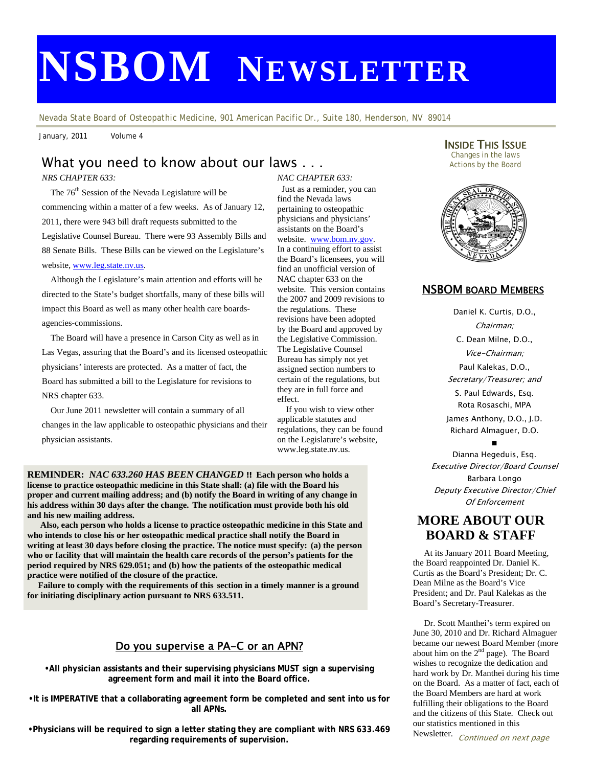# **NSBOM NEWSLETTER**

*Nevada State Board of Osteopathic Medicine, 901 American Pacific Dr., Suite 180, Henderson, NV 89014* 

January, 2011 Volume 4

# What you need to know about our laws . . .

*NRS CHAPTER 633:* 

The 76<sup>th</sup> Session of the Nevada Legislature will be commencing within a matter of a few weeks. As of January 12, 2011, there were 943 bill draft requests submitted to the Legislative Counsel Bureau. There were 93 Assembly Bills and 88 Senate Bills. These Bills can be viewed on the Legislature's website, [www.leg.state.nv.us](http://www.leg.state.nv.us/).

 directed to the State's budget shortfalls, many of these bills will Although the Legislature's main attention and efforts will be impact this Board as well as many other health care boardsagencies-commissions.

 The Board will have a presence in Carson City as well as in Las Vegas, assuring that the Board's and its licensed osteopathic physicians' interests are protected. As a matter of fact, the Board has submitted a bill to the Legislature for revisions to NRS chapter 633.

 Our June 2011 newsletter will contain a summary of all changes in the law applicable to osteopathic physicians and their physician assistants.

*NAC CHAPTER 633:*  Just as a reminder, you can find the Nevada laws pertaining to osteopathic physicians and physicians' assistants on the Board's website. [www.bom.nv.gov](http://www.bom.nv.gov/). In a continuing effort to assist the Board's licensees, you will find an unofficial version of NAC chapter 633 on the website. This version contains the 2007 and 2009 revisions to the regulations. These revisions have been adopted by the Board and approved by the Legislative Commission. The Legislative Counsel Bureau has simply not yet assigned section numbers to certain of the regulations, but they are in full force and effect.

 If you wish to view other applicable statutes and regulations, they can be found on the Legislature's website, www.leg.state.nv.us.

**REMINDER:** *NAC 633.260 HAS BEEN CHANGED !!* **Each person who holds a license to practice osteopathic medicine in this State shall: (a) file with the Board his proper and current mailing address; and (b) notify the Board in writing of any change in his address within 30 days after the change. The notification must provide both his old and his new mailing address.** 

 **Also, each person who holds a license to practice osteopathic medicine in this State and who intends to close his or her osteopathic medical practice shall notify the Board in writing at least 30 days before closing the practice. The notice must specify: (a) the person who or facility that will maintain the health care records of the person's patients for the period required by NRS 629.051; and (b) how the patients of the osteopathic medical practice were notified of the closure of the practice.** 

 **Failure to comply with the requirements of this section in a timely manner is a ground for initiating disciplinary action pursuant to NRS 633.511.** 

## Do you supervise a PA-C or an APN?

**•All physician assistants and their supervising physicians MUST sign a supervising agreement form and mail it into the Board office.** 

**•It is IMPERATIVE that a collaborating agreement form be completed and sent into us for all APNs.** 

**•Physicians will be required to sign a letter stating they are compliant with NRS 633.469 regarding requirements of supervision.** 

**INSIDE THIS ISSUE**<br>Changes in the laws Actions by the Board



## NSBOM BOARD MEMBERS

Daniel K. Curtis, D.O., Chairman; C. Dean Milne, D.O., Vice-Chairman; Paul Kalekas, D.O., Secretary/Treasurer; and S. Paul Edwards, Esq. Rota Rosaschi, MPA James Anthony, D.O., J.D. Richard Almaguer, D.O. ∎

Dianna Hegeduis, Esq. Executive Director/Board Counsel Barbara Longo Deputy Executive Director/Chief Of Enforcement

# **MORE ABOUT OUR BOARD & STAFF**

 At its January 2011 Board Meeting, the Board reappointed Dr. Daniel K. Curtis as the Board's President; Dr. C. Dean Milne as the Board's Vice President; and Dr. Paul Kalekas as the Board's Secretary-Treasurer.

 Dr. Scott Manthei's term expired on June 30, 2010 and Dr. Richard Almaguer became our newest Board Member (more about him on the  $2<sup>nd</sup>$  page). The Board wishes to recognize the dedication and hard work by Dr. Manthei during his time on the Board. As a matter of fact, each of the Board Members are hard at work fulfilling their obligations to the Board and the citizens of this State. Check out our statistics mentioned in this

Newsletter. Continued on next page